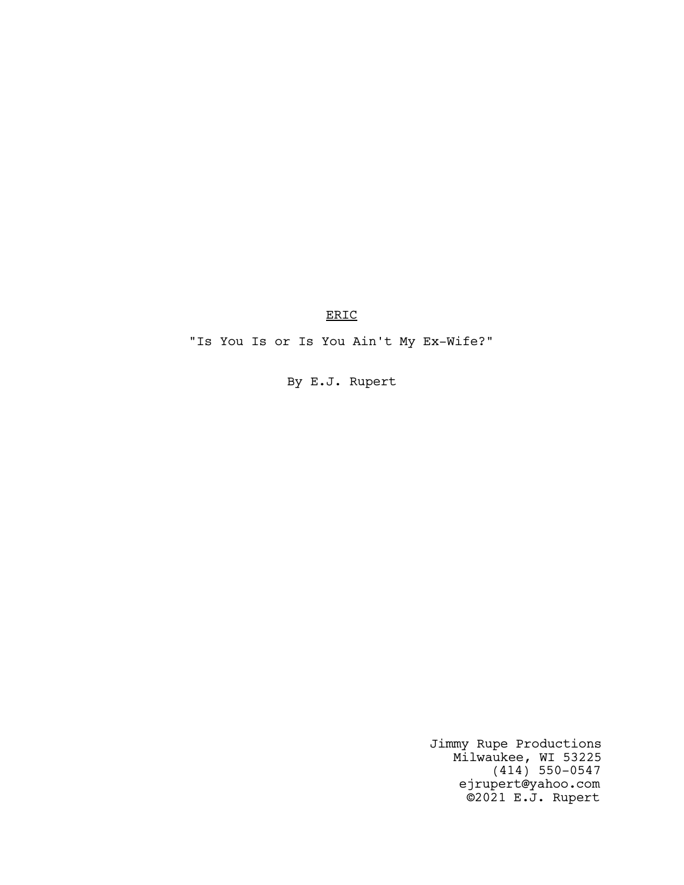ERIC

"Is You Is or Is You Ain't My Ex-Wife?"

By E.J. Rupert

Jimmy Rupe Productions Milwaukee, WI 53225 (414) 550-0547 ejrupert@yahoo.com ©2021 E.J. Rupert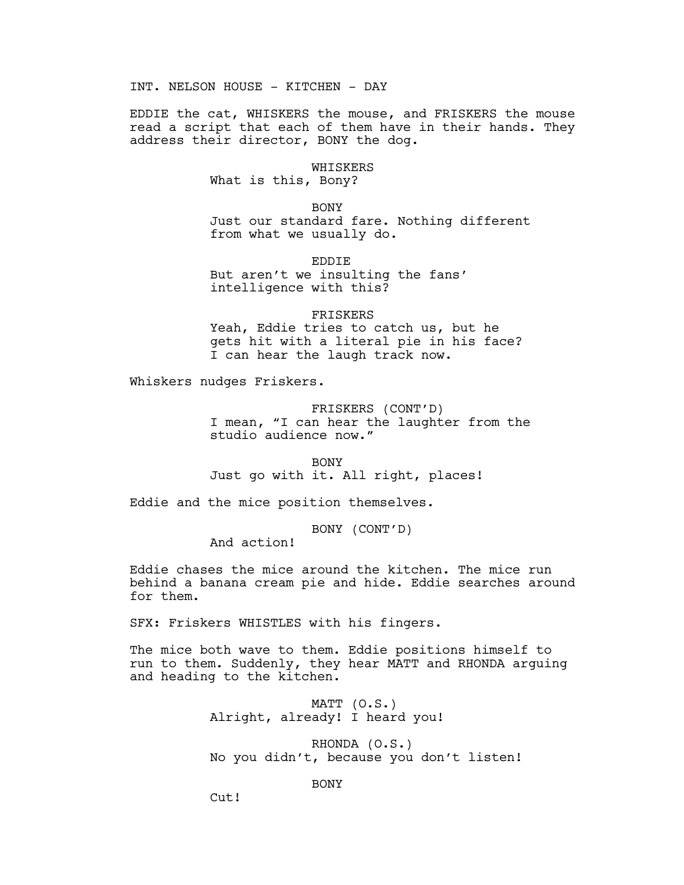INT. NELSON HOUSE - KITCHEN - DAY

EDDIE the cat, WHISKERS the mouse, and FRISKERS the mouse read a script that each of them have in their hands. They address their director, BONY the dog.

#### WHISKERS

What is this, Bony?

BONY Just our standard fare. Nothing different from what we usually do.

EDDIE But aren't we insulting the fans' intelligence with this?

## FRISKERS Yeah, Eddie tries to catch us, but he gets hit with a literal pie in his face? I can hear the laugh track now.

Whiskers nudges Friskers.

FRISKERS (CONT'D) I mean, "I can hear the laughter from the studio audience now."

BONY

Just go with it. All right, places!

Eddie and the mice position themselves.

BONY (CONT'D)

And action!

Eddie chases the mice around the kitchen. The mice run behind a banana cream pie and hide. Eddie searches around for them.

SFX: Friskers WHISTLES with his fingers.

The mice both wave to them. Eddie positions himself to run to them. Suddenly, they hear MATT and RHONDA arguing and heading to the kitchen.

> MATT (O.S.) Alright, already! I heard you!

RHONDA (O.S.) No you didn't, because you don't listen!

## BONY

 $Cut!$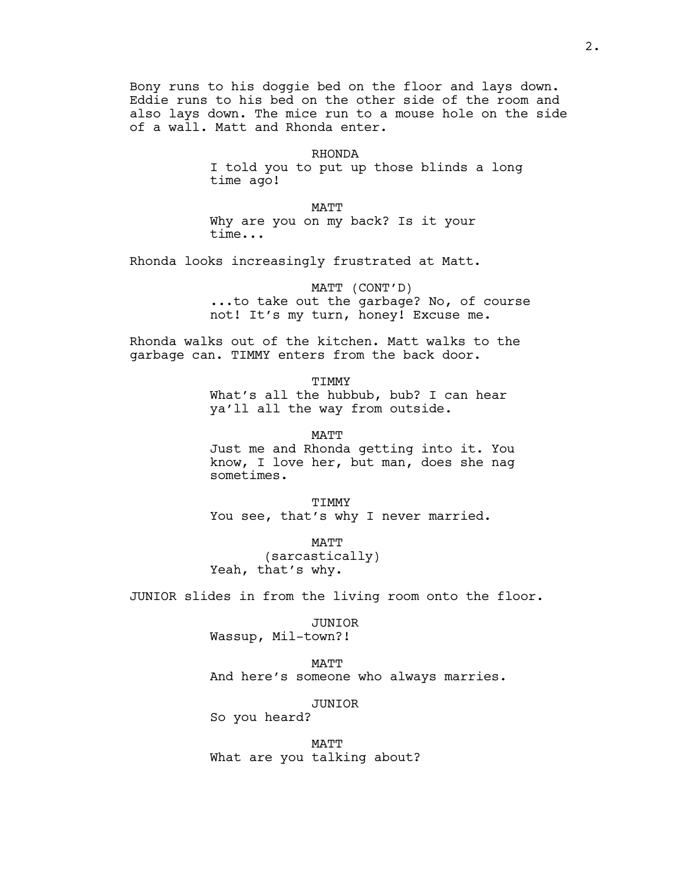Bony runs to his doggie bed on the floor and lays down. Eddie runs to his bed on the other side of the room and also lays down. The mice run to a mouse hole on the side of a wall. Matt and Rhonda enter.

> RHONDA I told you to put up those blinds a long time ago!

MATT Why are you on my back? Is it your time...

Rhonda looks increasingly frustrated at Matt.

MATT (CONT'D) ...to take out the garbage? No, of course not! It's my turn, honey! Excuse me.

Rhonda walks out of the kitchen. Matt walks to the garbage can. TIMMY enters from the back door.

> **TIMMY** What's all the hubbub, bub? I can hear ya'll all the way from outside.

MATT Just me and Rhonda getting into it. You know, I love her, but man, does she nag sometimes.

TIMMY You see, that's why I never married.

MATT (sarcastically) Yeah, that's why.

JUNIOR slides in from the living room onto the floor.

### JUNIOR

Wassup, Mil-town?!

MATT And here's someone who always marries.

#### JUNIOR

So you heard?

MATT What are you talking about?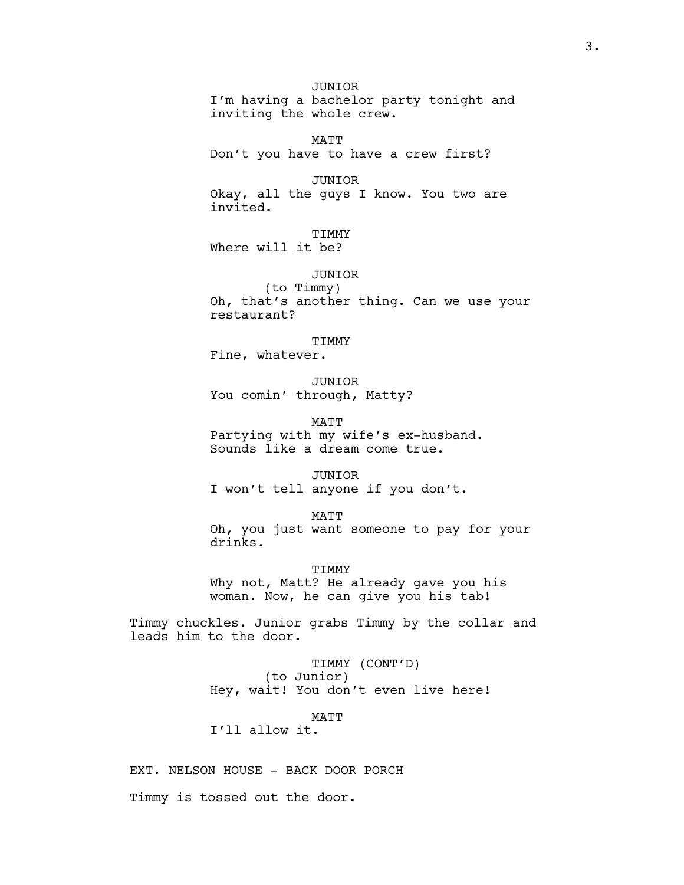JUNIOR I'm having a bachelor party tonight and inviting the whole crew.

MATT Don't you have to have a crew first?

JUNIOR Okay, all the guys I know. You two are invited.

TIMMY Where will it be?

JUNIOR

(to Timmy) Oh, that's another thing. Can we use your restaurant?

TIMMY

Fine, whatever.

JUNIOR You comin' through, Matty?

MATT Partying with my wife's ex-husband. Sounds like a dream come true.

JUNIOR I won't tell anyone if you don't.

MATT Oh, you just want someone to pay for your drinks.

TIMMY Why not, Matt? He already gave you his woman. Now, he can give you his tab!

Timmy chuckles. Junior grabs Timmy by the collar and leads him to the door.

> TIMMY (CONT'D) (to Junior) Hey, wait! You don't even live here!

> > MATT

I'll allow it.

EXT. NELSON HOUSE - BACK DOOR PORCH

Timmy is tossed out the door.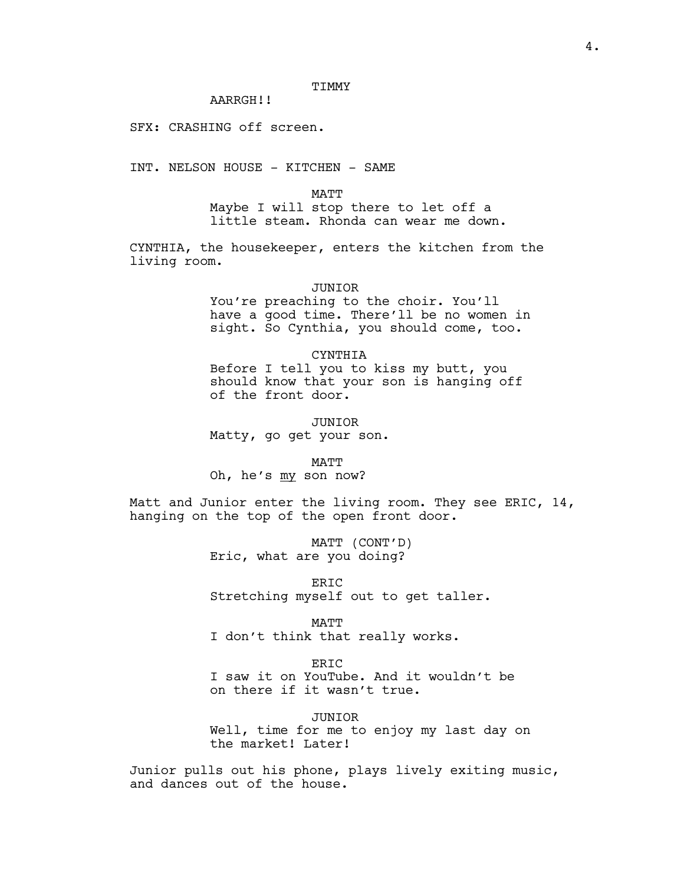AARRGH!!

SFX: CRASHING off screen.

INT. NELSON HOUSE - KITCHEN - SAME

MATT

Maybe I will stop there to let off a little steam. Rhonda can wear me down.

CYNTHIA, the housekeeper, enters the kitchen from the living room.

JUNIOR

You're preaching to the choir. You'll have a good time. There'll be no women in sight. So Cynthia, you should come, too.

CYNTHIA

Before I tell you to kiss my butt, you should know that your son is hanging off of the front door.

JUNIOR Matty, go get your son.

MATT Oh, he's my son now?

Matt and Junior enter the living room. They see ERIC, 14, hanging on the top of the open front door.

> MATT (CONT'D) Eric, what are you doing?

ERIC Stretching myself out to get taller.

MATT

I don't think that really works.

ERIC

I saw it on YouTube. And it wouldn't be on there if it wasn't true.

JUNIOR

Well, time for me to enjoy my last day on the market! Later!

Junior pulls out his phone, plays lively exiting music, and dances out of the house.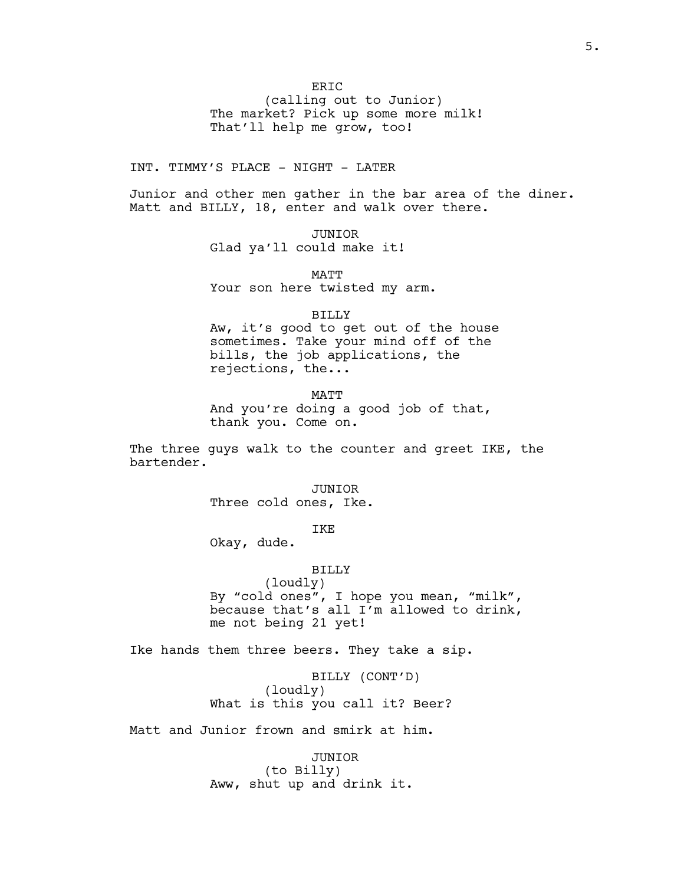(calling out to Junior) The market? Pick up some more milk! That'll help me grow, too!

INT. TIMMY'S PLACE - NIGHT - LATER

Junior and other men gather in the bar area of the diner. Matt and BILLY, 18, enter and walk over there.

> JUNIOR Glad ya'll could make it!

MATT Your son here twisted my arm.

BILLY

Aw, it's good to get out of the house sometimes. Take your mind off of the bills, the job applications, the rejections, the...

MATT

And you're doing a good job of that, thank you. Come on.

The three guys walk to the counter and greet IKE, the bartender.

> JUNIOR Three cold ones, Ike.

> > IKE

Okay, dude.

### BILLY

(loudly) By "cold ones", I hope you mean, "milk", because that's all I'm allowed to drink, me not being 21 yet!

Ike hands them three beers. They take a sip.

BILLY (CONT'D) (loudly) What is this you call it? Beer?

Matt and Junior frown and smirk at him.

JUNIOR (to Billy) Aww, shut up and drink it.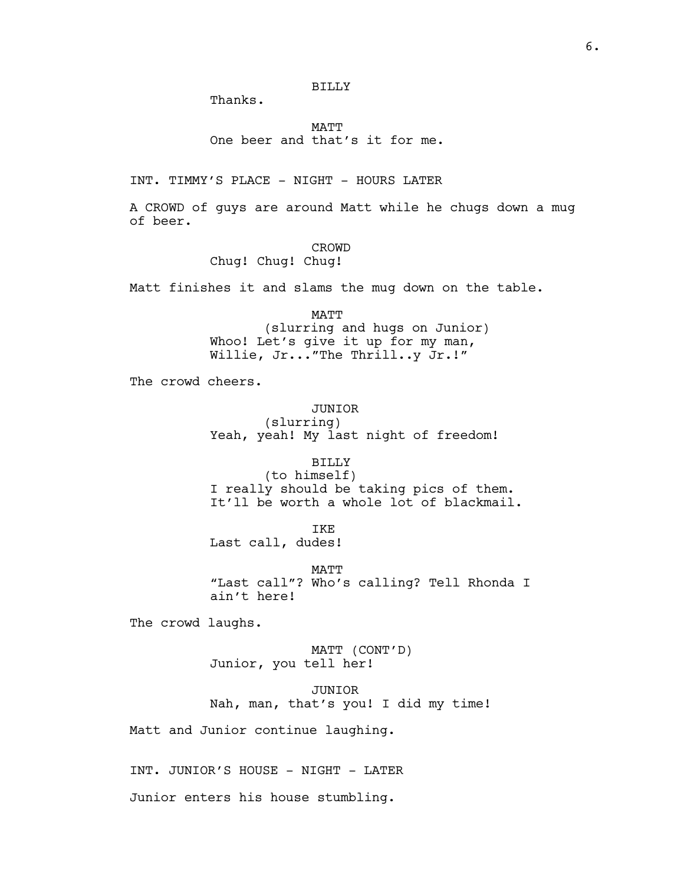Thanks.

MATT One beer and that's it for me.

INT. TIMMY'S PLACE - NIGHT - HOURS LATER

A CROWD of guys are around Matt while he chugs down a mug of beer.

#### CROWD

Chug! Chug! Chug!

Matt finishes it and slams the mug down on the table.

MATT (slurring and hugs on Junior) Whoo! Let's give it up for my man, Willie, Jr..."The Thrill..y Jr.!"

The crowd cheers.

JUNIOR (slurring) Yeah, yeah! My last night of freedom!

BILLY (to himself) I really should be taking pics of them. It'll be worth a whole lot of blackmail.

TKE.

Last call, dudes!

MATT "Last call"? Who's calling? Tell Rhonda I ain't here!

The crowd laughs.

MATT (CONT'D) Junior, you tell her!

JUNIOR Nah, man, that's you! I did my time!

Matt and Junior continue laughing.

INT. JUNIOR'S HOUSE - NIGHT - LATER

Junior enters his house stumbling.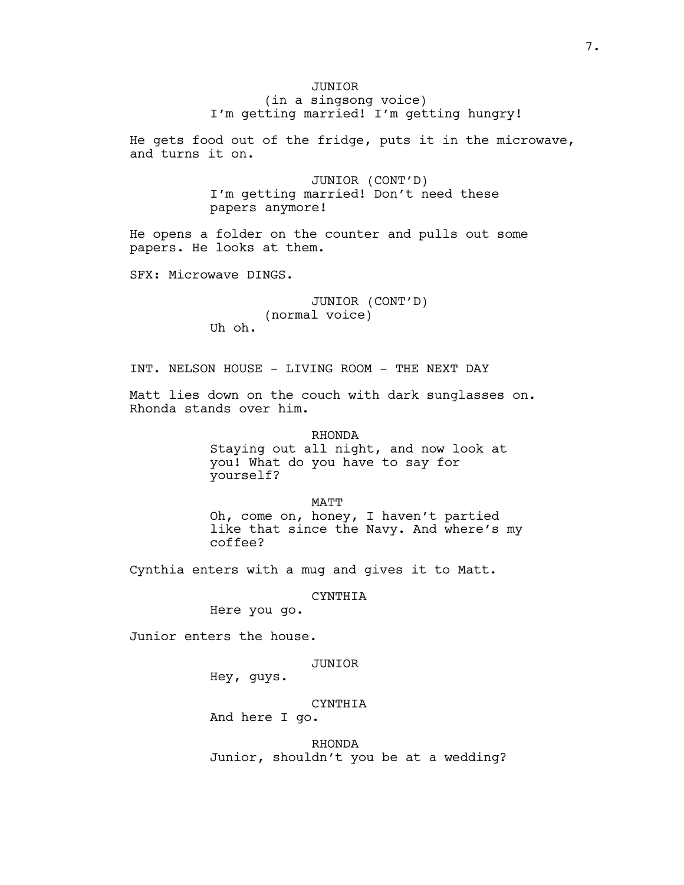# JUNIOR (in a singsong voice) I'm getting married! I'm getting hungry!

He gets food out of the fridge, puts it in the microwave, and turns it on.

> JUNIOR (CONT'D) I'm getting married! Don't need these papers anymore!

He opens a folder on the counter and pulls out some papers. He looks at them.

SFX: Microwave DINGS.

# JUNIOR (CONT'D) (normal voice)

Uh oh.

INT. NELSON HOUSE - LIVING ROOM - THE NEXT DAY

Matt lies down on the couch with dark sunglasses on. Rhonda stands over him.

> RHONDA Staying out all night, and now look at you! What do you have to say for yourself?

MATT Oh, come on, honey, I haven't partied like that since the Navy. And where's my coffee?

Cynthia enters with a mug and gives it to Matt.

#### CYNTHIA

Here you go.

Junior enters the house.

## JUNIOR

Hey, guys.

## CYNTHIA

And here I go.

RHONDA Junior, shouldn't you be at a wedding?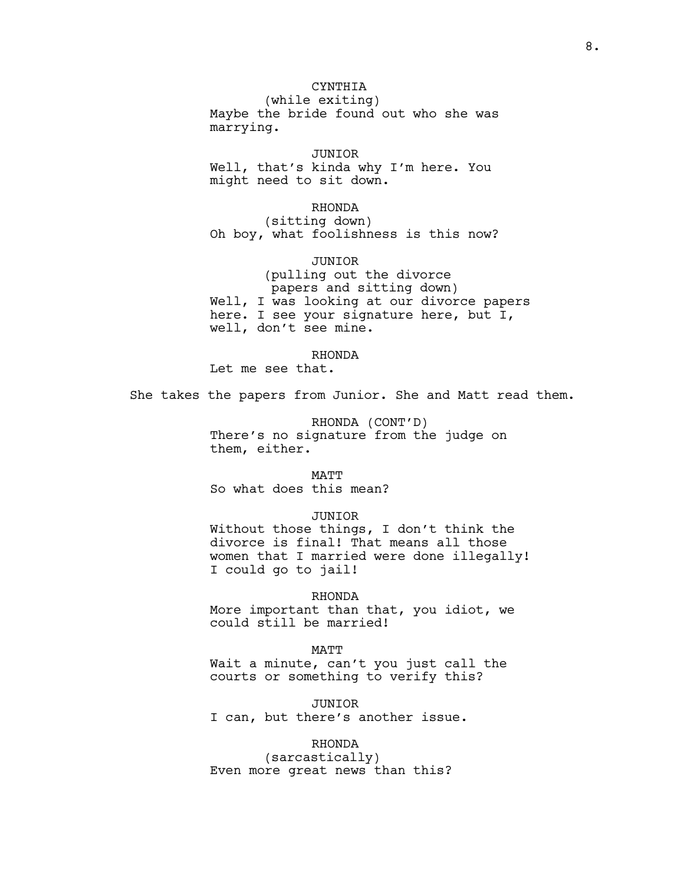# CYNTHIA

(while exiting) Maybe the bride found out who she was marrying.

## JUNIOR

Well, that's kinda why I'm here. You might need to sit down.

#### RHONDA

(sitting down) Oh boy, what foolishness is this now?

## JUNIOR

(pulling out the divorce papers and sitting down) Well, I was looking at our divorce papers here. I see your signature here, but I, well, don't see mine.

## RHONDA

Let me see that.

She takes the papers from Junior. She and Matt read them.

RHONDA (CONT'D) There's no signature from the judge on them, either.

#### MATT

So what does this mean?

### JUNIOR

Without those things, I don't think the divorce is final! That means all those women that I married were done illegally! I could go to jail!

#### RHONDA

More important than that, you idiot, we could still be married!

#### MATT

Wait a minute, can't you just call the courts or something to verify this?

JUNIOR I can, but there's another issue.

## RHONDA

(sarcastically) Even more great news than this?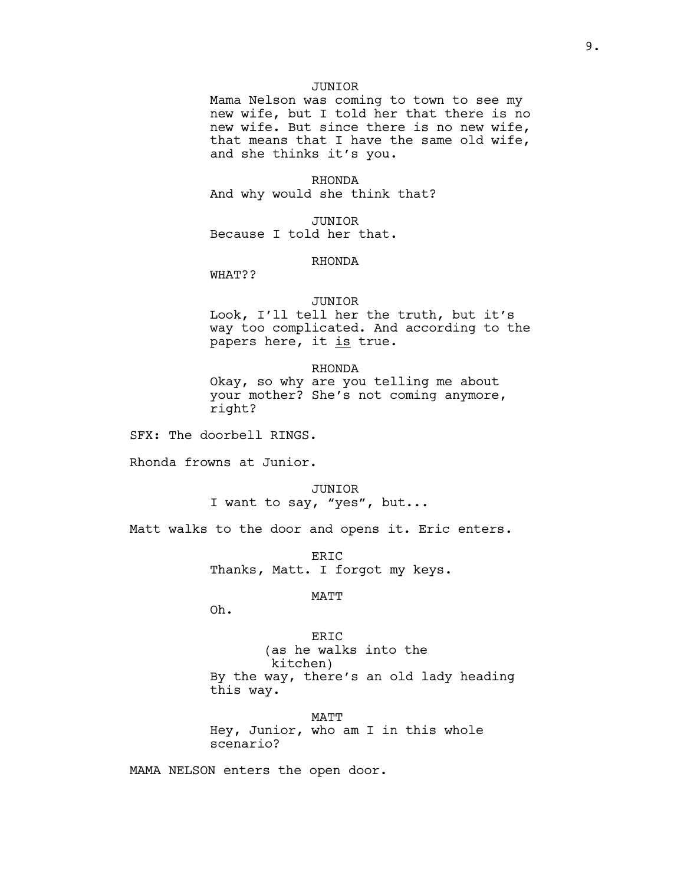## JUNIOR

Mama Nelson was coming to town to see my new wife, but I told her that there is no new wife. But since there is no new wife, that means that I have the same old wife, and she thinks it's you.

RHONDA And why would she think that?

JUNIOR Because I told her that.

## RHONDA

WHAT??

#### JUNIOR

Look, I'll tell her the truth, but it's way too complicated. And according to the papers here, it is true.

#### RHONDA

Okay, so why are you telling me about your mother? She's not coming anymore, right?

SFX: The doorbell RINGS.

Rhonda frowns at Junior.

# JUNIOR

I want to say, "yes", but...

Matt walks to the door and opens it. Eric enters.

ERIC Thanks, Matt. I forgot my keys.

## MATT

Oh.

ERIC (as he walks into the kitchen) By the way, there's an old lady heading this way.

MATT Hey, Junior, who am I in this whole scenario?

MAMA NELSON enters the open door.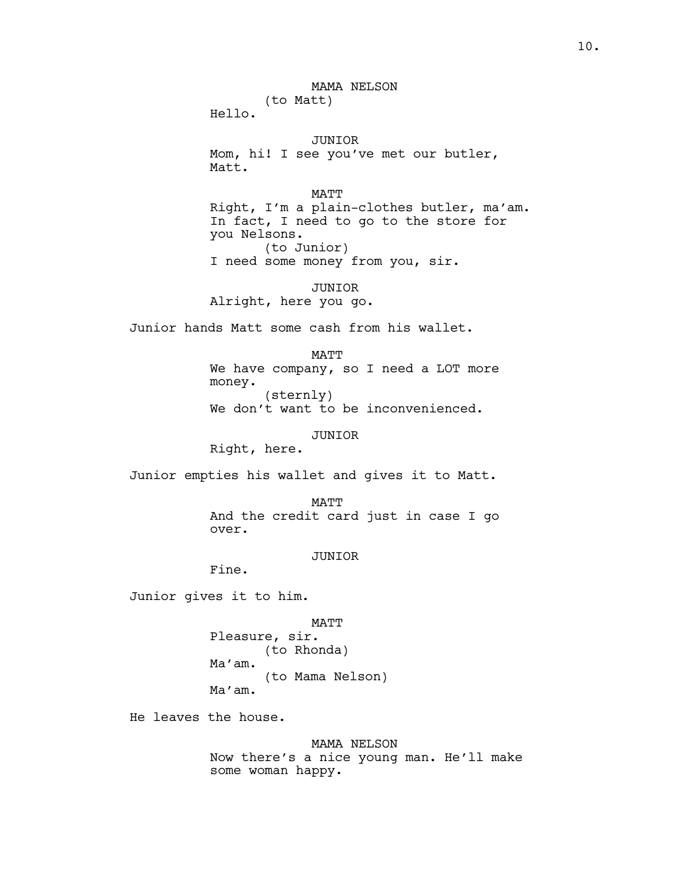MAMA NELSON (to Matt)

Hello.

JUNIOR Mom, hi! I see you've met our butler, Matt.

MATT Right, I'm a plain-clothes butler, ma'am. In fact, I need to go to the store for you Nelsons. (to Junior) I need some money from you, sir.

JUNIOR Alright, here you go.

Junior hands Matt some cash from his wallet.

MATT We have company, so I need a LOT more money. (sternly) We don't want to be inconvenienced.

JUNIOR

Right, here.

Junior empties his wallet and gives it to Matt.

MATT And the credit card just in case I go over.

JUNIOR

Fine.

Junior gives it to him.

MATT Pleasure, sir. (to Rhonda) Ma'am. (to Mama Nelson) Ma'am.

He leaves the house.

MAMA NELSON Now there's a nice young man. He'll make some woman happy.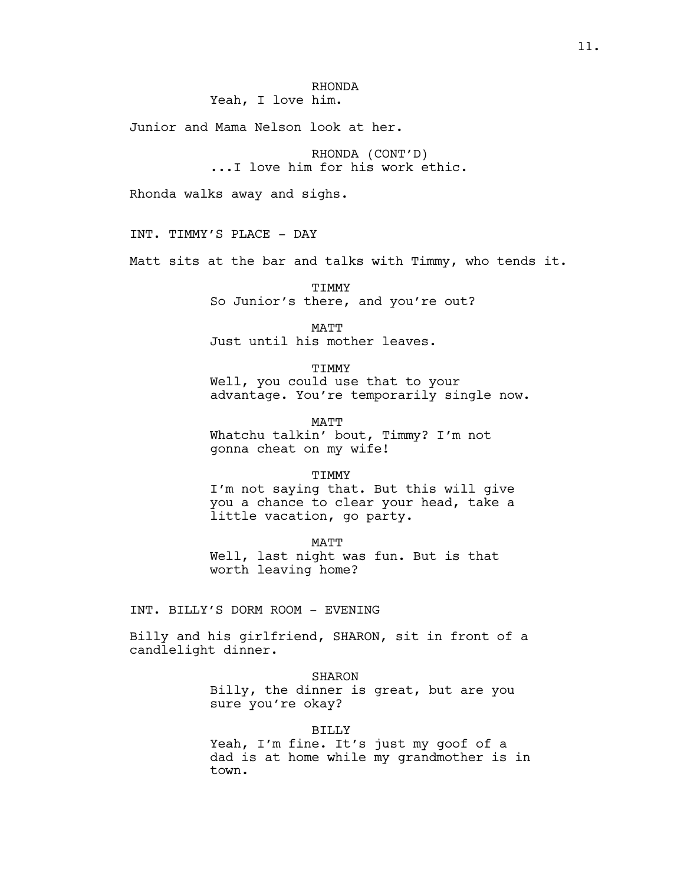# RHONDA

Yeah, I love him.

Junior and Mama Nelson look at her.

RHONDA (CONT'D) ...I love him for his work ethic.

Rhonda walks away and sighs.

INT. TIMMY'S PLACE - DAY

Matt sits at the bar and talks with Timmy, who tends it.

**TTMMY** So Junior's there, and you're out?

MATT Just until his mother leaves.

TIMMY

Well, you could use that to your advantage. You're temporarily single now.

MATT Whatchu talkin' bout, Timmy? I'm not gonna cheat on my wife!

TIMMY

I'm not saying that. But this will give you a chance to clear your head, take a little vacation, go party.

MATT Well, last night was fun. But is that worth leaving home?

INT. BILLY'S DORM ROOM - EVENING

Billy and his girlfriend, SHARON, sit in front of a candlelight dinner.

SHARON

Billy, the dinner is great, but are you sure you're okay?

BILLY

Yeah, I'm fine. It's just my goof of a dad is at home while my grandmother is in town.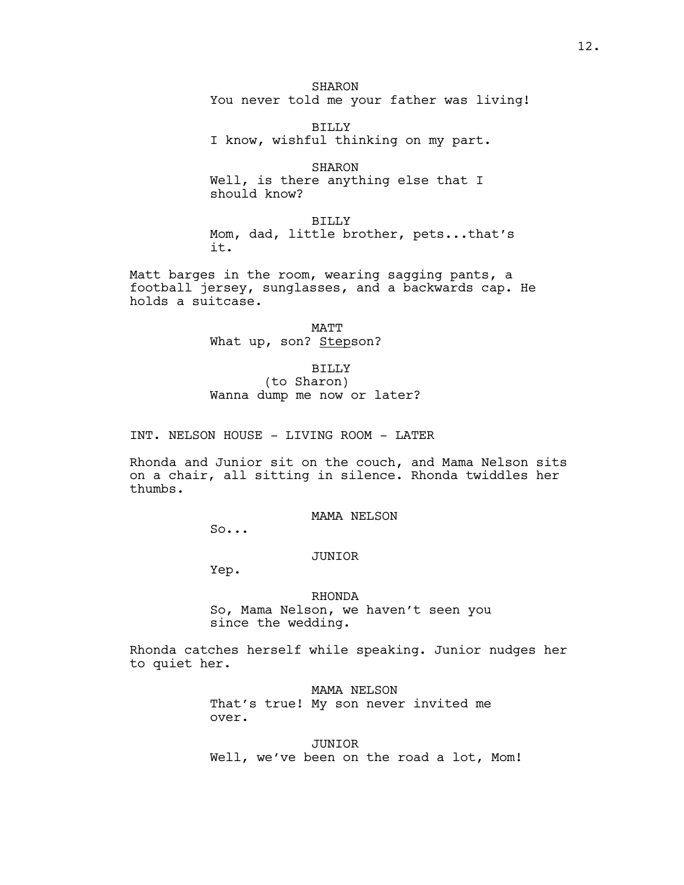**SHARON** You never told me your father was living!

BILLY I know, wishful thinking on my part.

SHARON Well, is there anything else that I should know?

BILLY Mom, dad, little brother, pets...that's it.

Matt barges in the room, wearing sagging pants, a football jersey, sunglasses, and a backwards cap. He holds a suitcase.

> MATT What up, son? Stepson?

> > BILLY

(to Sharon) Wanna dump me now or later?

INT. NELSON HOUSE - LIVING ROOM - LATER

Rhonda and Junior sit on the couch, and Mama Nelson sits on a chair, all sitting in silence. Rhonda twiddles her thumbs.

MAMA NELSON

So...

JUNIOR

Yep.

RHONDA

So, Mama Nelson, we haven't seen you since the wedding.

Rhonda catches herself while speaking. Junior nudges her to quiet her.

> MAMA NELSON That's true! My son never invited me over.

JUNIOR Well, we've been on the road a lot, Mom!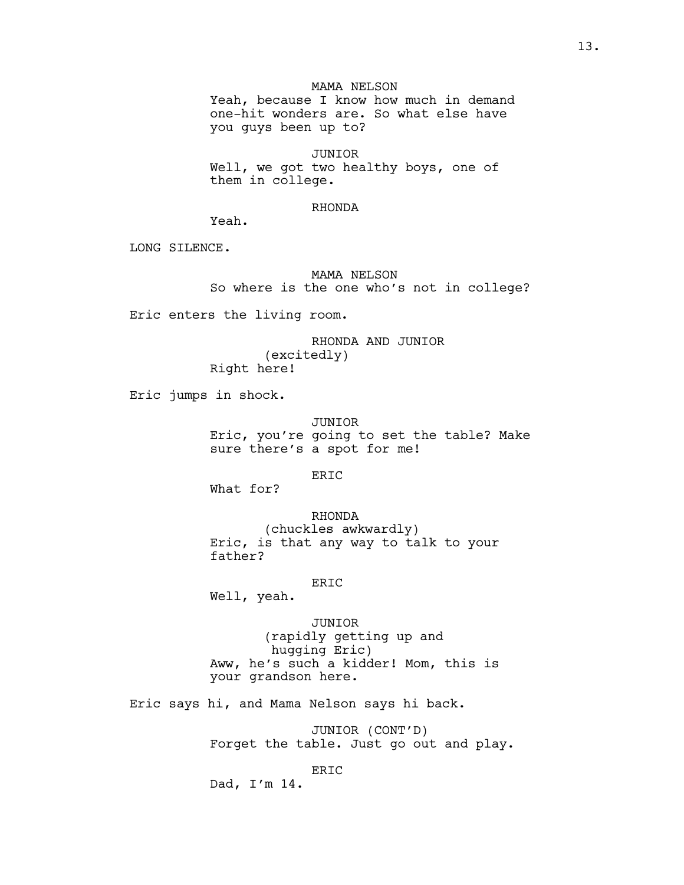## MAMA NELSON

Yeah, because I know how much in demand one-hit wonders are. So what else have you guys been up to?

JUNIOR Well, we got two healthy boys, one of them in college.

### RHONDA

Yeah.

LONG SILENCE.

MAMA NELSON So where is the one who's not in college?

Eric enters the living room.

RHONDA AND JUNIOR (excitedly) Right here!

Eric jumps in shock.

JUNIOR Eric, you're going to set the table? Make sure there's a spot for me!

ERIC

What for?

RHONDA

(chuckles awkwardly) Eric, is that any way to talk to your father?

#### ERIC

Well, yeah.

JUNIOR (rapidly getting up and hugging Eric) Aww, he's such a kidder! Mom, this is your grandson here.

Eric says hi, and Mama Nelson says hi back.

JUNIOR (CONT'D) Forget the table. Just go out and play.

ERIC

Dad, I'm 14.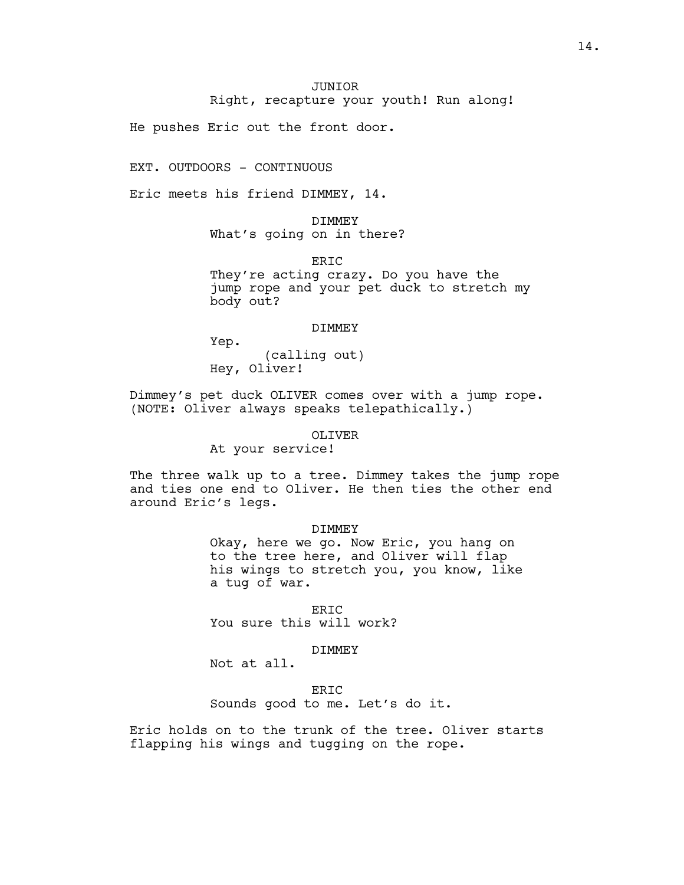Right, recapture your youth! Run along!

He pushes Eric out the front door.

EXT. OUTDOORS - CONTINUOUS

Eric meets his friend DIMMEY, 14.

DIMMEY What's going on in there?

ERIC

They're acting crazy. Do you have the jump rope and your pet duck to stretch my body out?

#### DIMMEY

Yep.

(calling out) Hey, Oliver!

Dimmey's pet duck OLIVER comes over with a jump rope. (NOTE: Oliver always speaks telepathically.)

## OLIVER

At your service!

The three walk up to a tree. Dimmey takes the jump rope and ties one end to Oliver. He then ties the other end around Eric's legs.

#### DIMMEY

Okay, here we go. Now Eric, you hang on to the tree here, and Oliver will flap his wings to stretch you, you know, like a tug of war.

ERIC You sure this will work?

#### DIMMEY

Not at all.

ERIC Sounds good to me. Let's do it.

Eric holds on to the trunk of the tree. Oliver starts flapping his wings and tugging on the rope.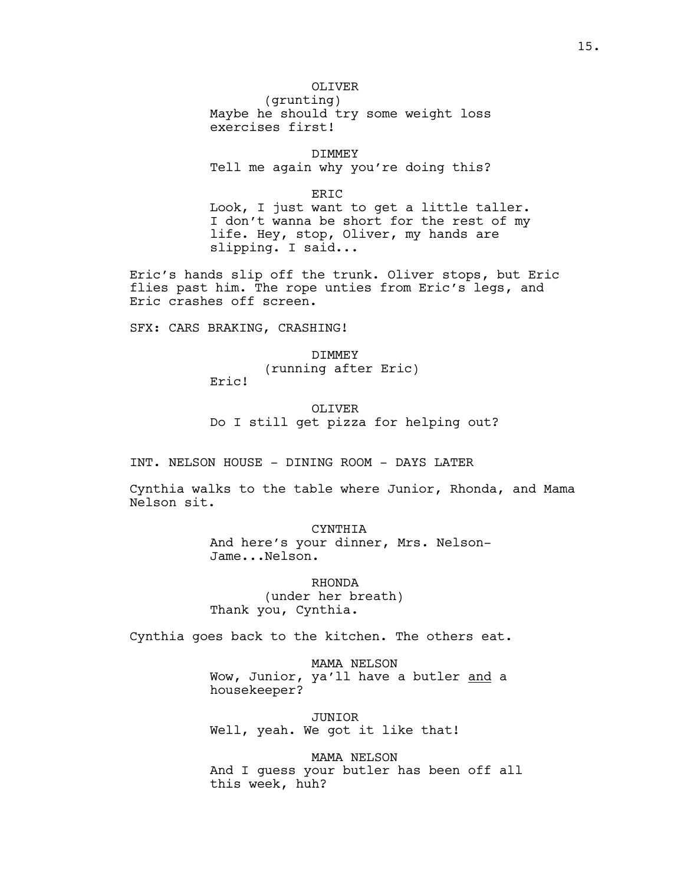# OLIVER

(grunting) Maybe he should try some weight loss exercises first!

DIMMEY Tell me again why you're doing this?

ERIC Look, I just want to get a little taller. I don't wanna be short for the rest of my life. Hey, stop, Oliver, my hands are slipping. I said...

Eric's hands slip off the trunk. Oliver stops, but Eric flies past him. The rope unties from Eric's legs, and Eric crashes off screen.

SFX: CARS BRAKING, CRASHING!

DIMMEY (running after Eric) Eric!

OLIVER Do I still get pizza for helping out?

INT. NELSON HOUSE - DINING ROOM - DAYS LATER

Cynthia walks to the table where Junior, Rhonda, and Mama Nelson sit.

> CYNTHIA And here's your dinner, Mrs. Nelson-Jame...Nelson.

RHONDA (under her breath) Thank you, Cynthia.

Cynthia goes back to the kitchen. The others eat.

MAMA NELSON Wow, Junior, ya'll have a butler and a housekeeper?

JUNIOR Well, yeah. We got it like that!

MAMA NELSON And I guess your butler has been off all this week, huh?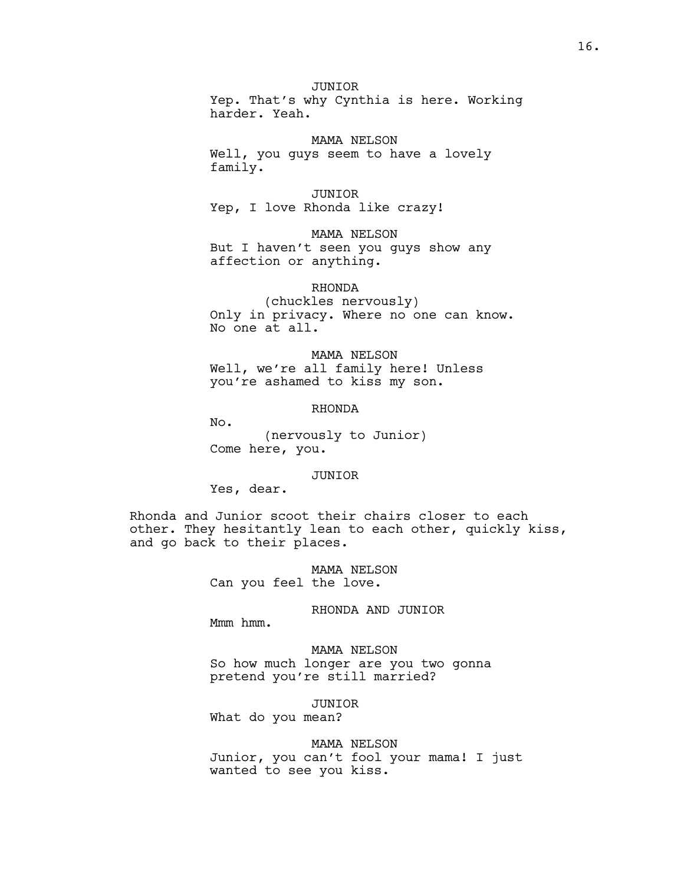## JUNIOR

Yep. That's why Cynthia is here. Working harder. Yeah.

#### MAMA NELSON

Well, you guys seem to have a lovely family.

### JUNIOR

Yep, I love Rhonda like crazy!

MAMA NELSON But I haven't seen you guys show any affection or anything.

## RHONDA

(chuckles nervously) Only in privacy. Where no one can know. No one at all.

MAMA NELSON Well, we're all family here! Unless you're ashamed to kiss my son.

## RHONDA

No.

(nervously to Junior) Come here, you.

#### JUNIOR

Yes, dear.

Rhonda and Junior scoot their chairs closer to each other. They hesitantly lean to each other, quickly kiss, and go back to their places.

> MAMA NELSON Can you feel the love.

# RHONDA AND JUNIOR

Mmm hmm.

MAMA NELSON So how much longer are you two gonna pretend you're still married?

#### JUNIOR

What do you mean?

## MAMA NELSON

Junior, you can't fool your mama! I just wanted to see you kiss.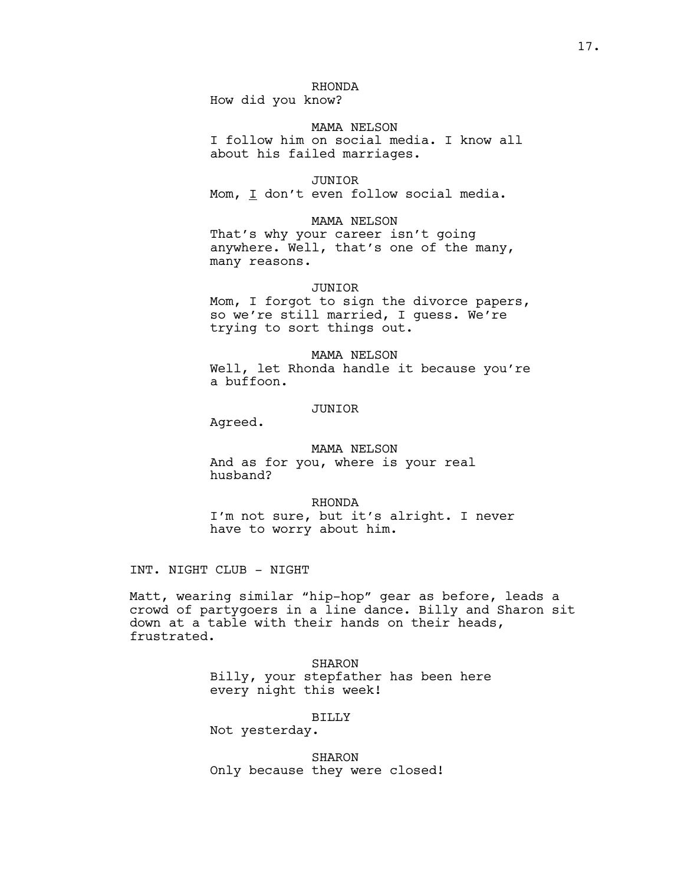# RHONDA

How did you know?

MAMA NELSON I follow him on social media. I know all about his failed marriages.

#### JUNIOR

Mom, I don't even follow social media.

#### MAMA NELSON

That's why your career isn't going anywhere. Well, that's one of the many, many reasons.

#### JUNIOR

Mom, I forgot to sign the divorce papers, so we're still married, I guess. We're trying to sort things out.

MAMA NELSON Well, let Rhonda handle it because you're a buffoon.

## JUNIOR

Agreed.

## MAMA NELSON

And as for you, where is your real husband?

RHONDA I'm not sure, but it's alright. I never have to worry about him.

INT. NIGHT CLUB - NIGHT

Matt, wearing similar "hip-hop" gear as before, leads a crowd of partygoers in a line dance. Billy and Sharon sit down at a table with their hands on their heads, frustrated.

> SHARON Billy, your stepfather has been here every night this week!

#### BILLY

Not yesterday.

SHARON Only because they were closed!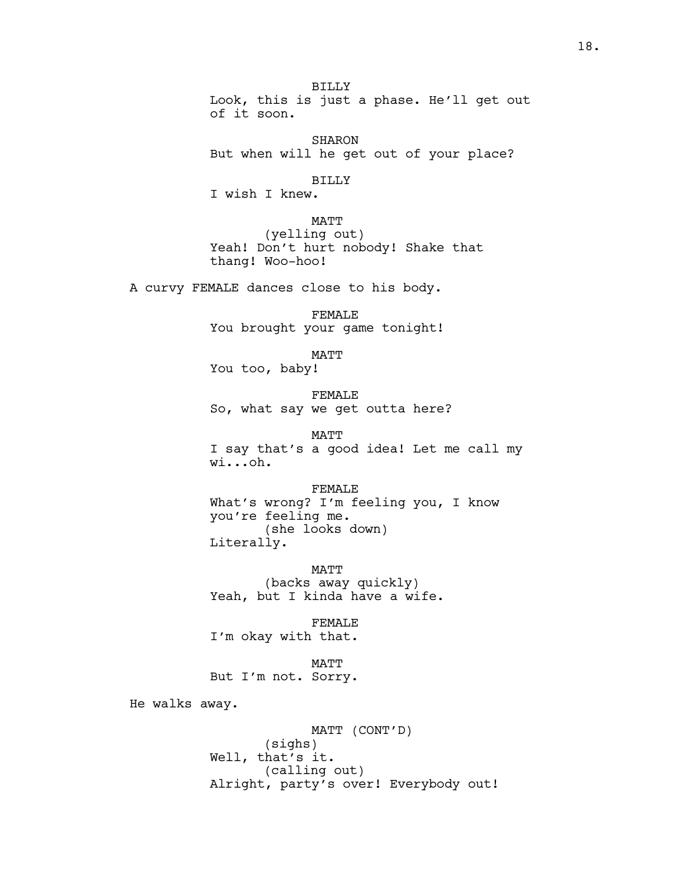BILLY Look, this is just a phase. He'll get out of it soon.

SHARON But when will he get out of your place?

BILLY

I wish I knew.

MATT

(yelling out) Yeah! Don't hurt nobody! Shake that thang! Woo-hoo!

A curvy FEMALE dances close to his body.

FEMALE You brought your game tonight!

MATT

You too, baby!

FEMALE So, what say we get outta here?

MATT I say that's a good idea! Let me call my wi...oh.

FEMALE What's wrong? I'm feeling you, I know you're feeling me. (she looks down) Literally.

MATT (backs away quickly) Yeah, but I kinda have a wife.

FEMALE I'm okay with that.

MATT But I'm not. Sorry.

He walks away.

MATT (CONT'D) (sighs) Well, that's it. (calling out) Alright, party's over! Everybody out!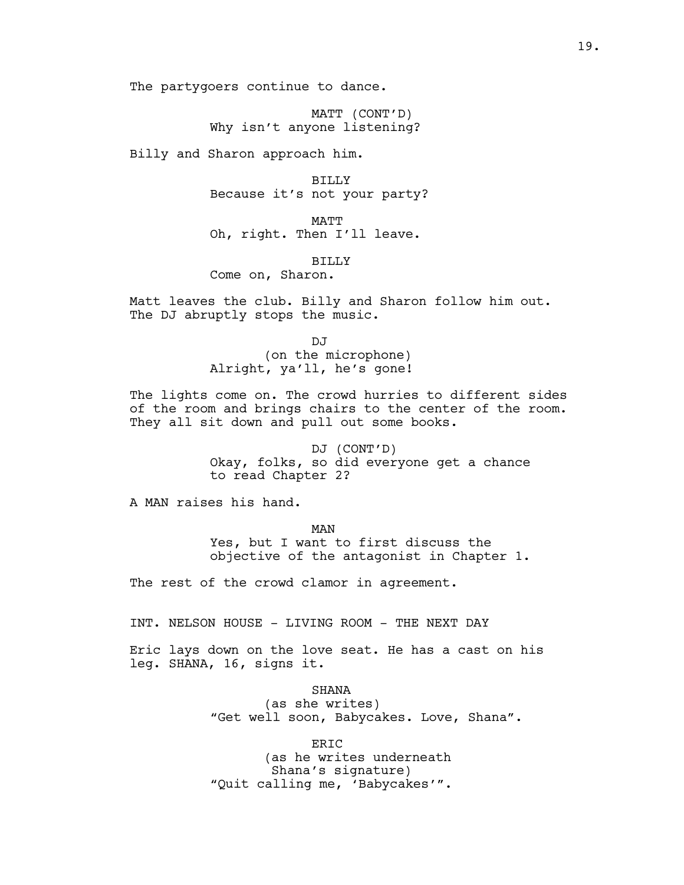The partygoers continue to dance.

MATT (CONT'D) Why isn't anyone listening?

Billy and Sharon approach him.

BILLY Because it's not your party?

MATT Oh, right. Then I'll leave.

BILLY

Come on, Sharon.

Matt leaves the club. Billy and Sharon follow him out. The DJ abruptly stops the music.

> DJ (on the microphone) Alright, ya'll, he's gone!

The lights come on. The crowd hurries to different sides of the room and brings chairs to the center of the room. They all sit down and pull out some books.

> DJ (CONT'D) Okay, folks, so did everyone get a chance to read Chapter 2?

A MAN raises his hand.

MAN Yes, but I want to first discuss the objective of the antagonist in Chapter 1.

The rest of the crowd clamor in agreement.

INT. NELSON HOUSE - LIVING ROOM - THE NEXT DAY

Eric lays down on the love seat. He has a cast on his leg. SHANA, 16, signs it.

> SHANA (as she writes) "Get well soon, Babycakes. Love, Shana".

> > ERIC

(as he writes underneath Shana's signature) "Quit calling me, 'Babycakes'".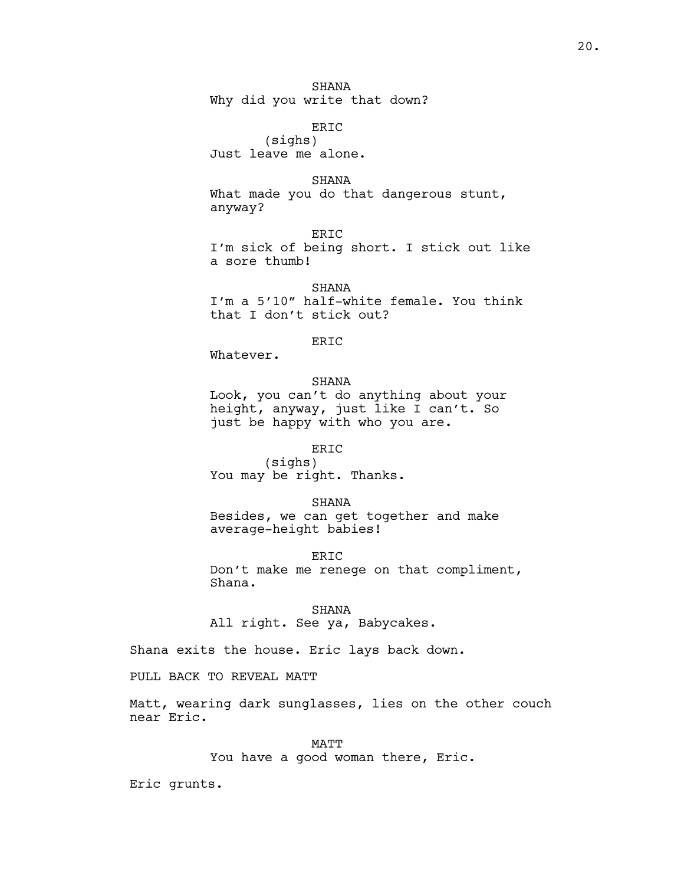# SHANA

Why did you write that down?

ERIC (sighs) Just leave me alone.

#### SHANA

What made you do that dangerous stunt, anyway?

ERIC I'm sick of being short. I stick out like a sore thumb!

SHANA I'm a 5'10" half-white female. You think that I don't stick out?

## ERIC

Whatever.

## SHANA

Look, you can't do anything about your height, anyway, just like I can't. So just be happy with who you are.

## ERIC

(sighs) You may be right. Thanks.

SHANA

Besides, we can get together and make average-height babies!

ERIC Don't make me renege on that compliment, Shana.

#### SHANA

All right. See ya, Babycakes.

Shana exits the house. Eric lays back down.

PULL BACK TO REVEAL MATT

Matt, wearing dark sunglasses, lies on the other couch near Eric.

> MATT You have a good woman there, Eric.

Eric grunts.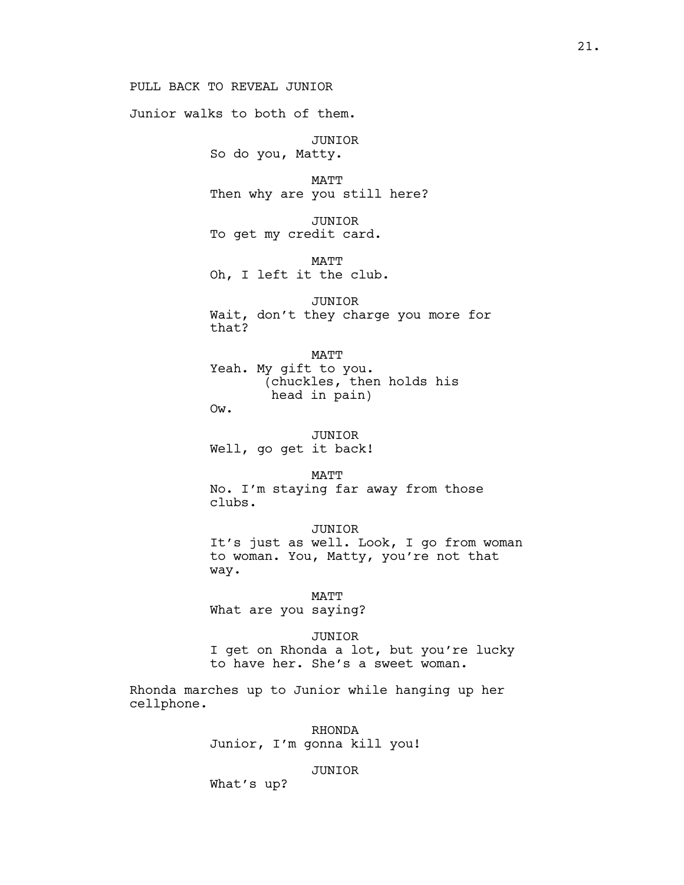# PULL BACK TO REVEAL JUNIOR

Junior walks to both of them.

JUNIOR So do you, Matty.

MATT Then why are you still here?

JUNIOR To get my credit card.

MATT Oh, I left it the club.

JUNIOR Wait, don't they charge you more for that?

MATT Yeah. My gift to you. (chuckles, then holds his head in pain)

Ow.

JUNIOR Well, go get it back!

**MATT** No. I'm staying far away from those clubs.

JUNIOR It's just as well. Look, I go from woman to woman. You, Matty, you're not that way.

#### MATT

What are you saying?

#### JUNIOR

I get on Rhonda a lot, but you're lucky to have her. She's a sweet woman.

Rhonda marches up to Junior while hanging up her cellphone.

> RHONDA Junior, I'm gonna kill you!

## JUNIOR

What's up?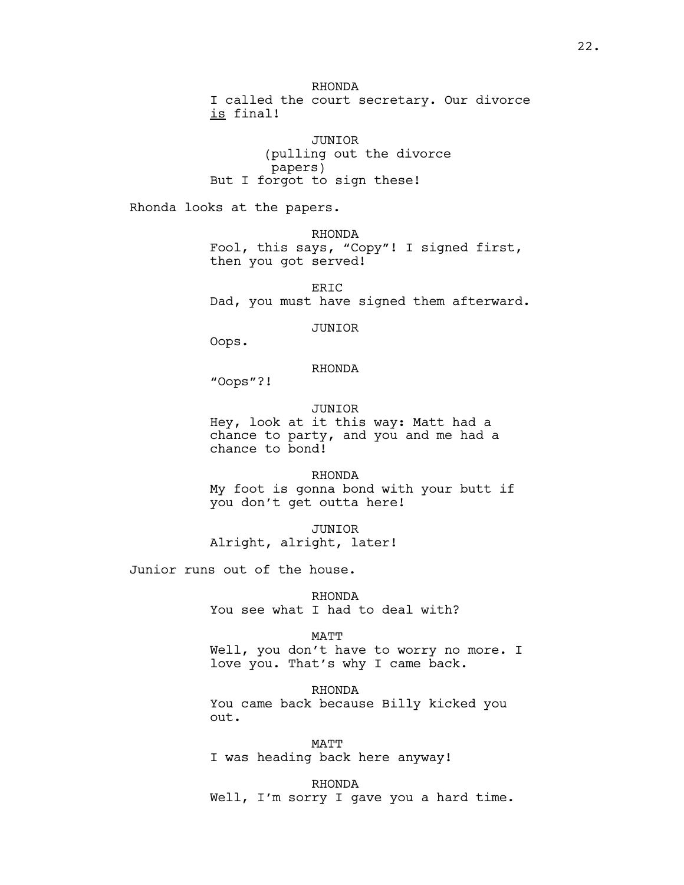RHONDA I called the court secretary. Our divorce is final!

JUNIOR (pulling out the divorce papers) But I forgot to sign these!

Rhonda looks at the papers.

RHONDA Fool, this says, "Copy"! I signed first, then you got served!

ER<sub>TC</sub> Dad, you must have signed them afterward.

JUNIOR

Oops.

# RHONDA

"Oops"?!

JUNIOR Hey, look at it this way: Matt had a chance to party, and you and me had a chance to bond!

RHONDA My foot is gonna bond with your butt if you don't get outta here!

JUNIOR Alright, alright, later!

Junior runs out of the house.

RHONDA You see what I had to deal with?

#### MATT

Well, you don't have to worry no more. I love you. That's why I came back.

RHONDA You came back because Billy kicked you out.

MATT I was heading back here anyway!

RHONDA Well, I'm sorry I gave you a hard time.